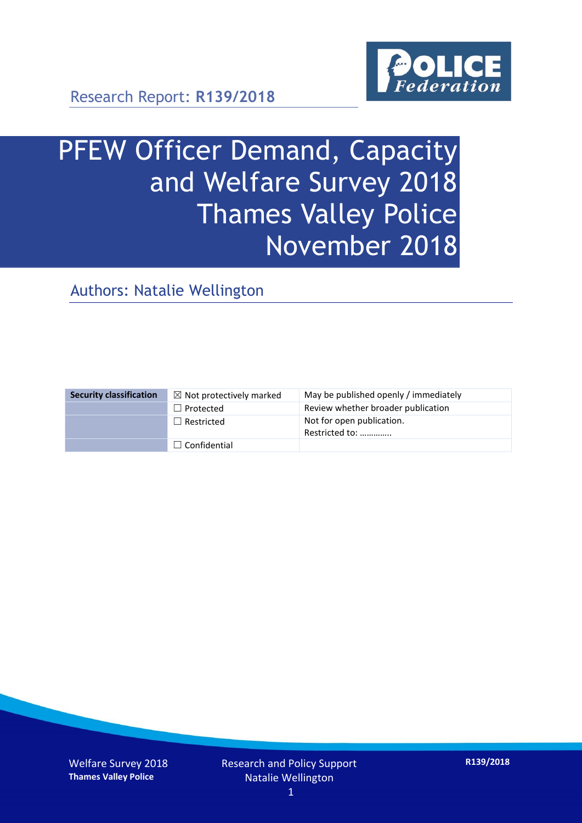

Research Report: **R139/2018**

# PFEW Officer Demand, Capacity and Welfare Survey 2018 Thames Valley Police November 2018

Authors: Natalie Wellington

| <b>Security classification</b> | $\boxtimes$ Not protectively marked | May be published openly / immediately       |
|--------------------------------|-------------------------------------|---------------------------------------------|
|                                | $\Box$ Protected                    | Review whether broader publication          |
|                                | $\Box$ Restricted                   | Not for open publication.<br>Restricted to: |
|                                | $\Box$ Confidential                 |                                             |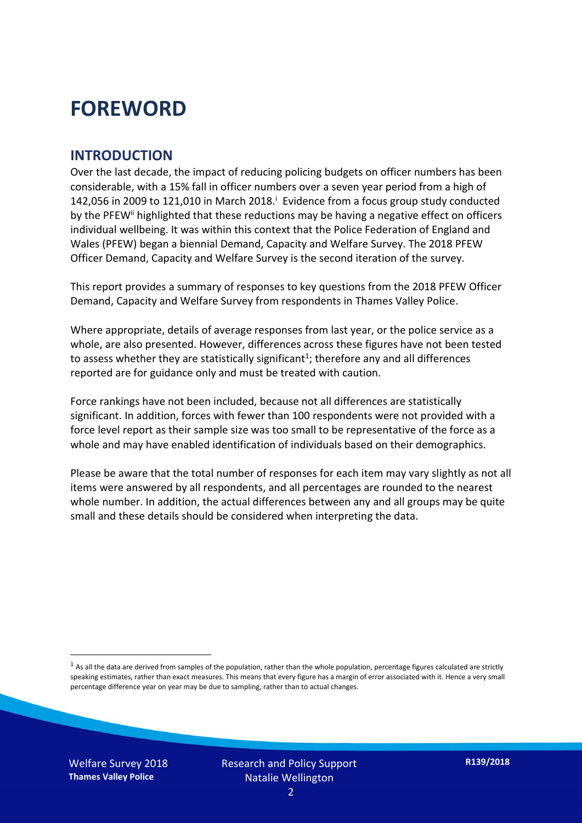### **FOREWORD**

#### **INTRODUCTION**

Over the last decade, the impact of reducing policing budgets on officer numbers has been considerable, with a 15% fall in officer numbers over a seven year period from a high of 142,056 in 2009 to 121,010 in March 2018. $^{\mathrm{i}}$  Evidence from a focus group study conducted by the PFEW<sup>ii</sup> highlighted that these reductions may be having a negative effect on officers individual wellbeing. It was within this context that the Police Federation of England and Wales (PFEW) began a biennial Demand, Capacity and Welfare Survey. The 2018 PFEW Officer Demand, Capacity and Welfare Survey is the second iteration of the survey.

This report provides a summary of responses to key questions from the 2018 PFEW Officer Demand, Capacity and Welfare Survey from respondents in Thames Valley Police.

Where appropriate, details of average responses from last year, or the police service as a whole, are also presented. However, differences across these figures have not been tested to assess whether they are statistically significant<sup>1</sup>; therefore any and all differences reported are for guidance only and must be treated with caution.

Force rankings have not been included, because not all differences are statistically significant. In addition, forces with fewer than 100 respondents were not provided with a force level report as their sample size was too small to be representative of the force as a whole and may have enabled identification of individuals based on their demographics.

Please be aware that the total number of responses for each item may vary slightly as not all items were answered by all respondents, and all percentages are rounded to the nearest whole number. In addition, the actual differences between any and all groups may be quite small and these details should be considered when interpreting the data.

 $<sup>1</sup>$  As all the data are derived from samples of the population, rather than the whole population, percentage figures calculated are strictly</sup> speaking estimates, rather than exact measures. This means that every figure has a margin of error associated with it. Hence a very small percentage difference year on year may be due to sampling, rather than to actual changes.

Welfare Survey 2018 **Thames Valley Police**

-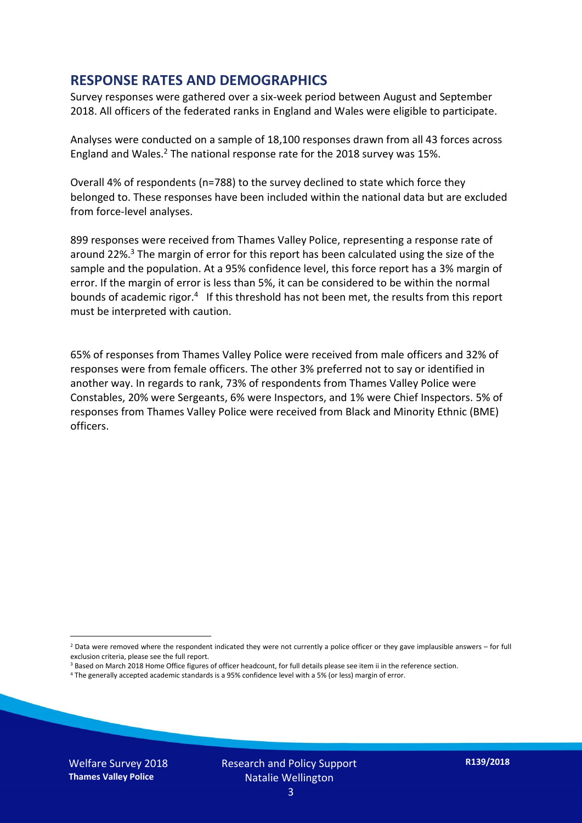#### **RESPONSE RATES AND DEMOGRAPHICS**

Survey responses were gathered over a six-week period between August and September 2018. All officers of the federated ranks in England and Wales were eligible to participate.

Analyses were conducted on a sample of 18,100 responses drawn from all 43 forces across England and Wales.<sup>2</sup> The national response rate for the 2018 survey was 15%.

Overall 4% of respondents (n=788) to the survey declined to state which force they belonged to. These responses have been included within the national data but are excluded from force-level analyses.

899 responses were received from Thames Valley Police, representing a response rate of around 22%. <sup>3</sup> The margin of error for this report has been calculated using the size of the sample and the population. At a 95% confidence level, this force report has a 3% margin of error. If the margin of error is less than 5%, it can be considered to be within the normal bounds of academic rigor.<sup>4</sup> If this threshold has not been met, the results from this report must be interpreted with caution.

65% of responses from Thames Valley Police were received from male officers and 32% of responses were from female officers. The other 3% preferred not to say or identified in another way. In regards to rank, 73% of respondents from Thames Valley Police were Constables, 20% were Sergeants, 6% were Inspectors, and 1% were Chief Inspectors. 5% of responses from Thames Valley Police were received from Black and Minority Ethnic (BME) officers.

-

 $2$  Data were removed where the respondent indicated they were not currently a police officer or they gave implausible answers – for full exclusion criteria, please see the full report.

<sup>3</sup> Based on March 2018 Home Office figures of officer headcount, for full details please see item ii in the reference section.

<sup>4</sup> The generally accepted academic standards is a 95% confidence level with a 5% (or less) margin of error.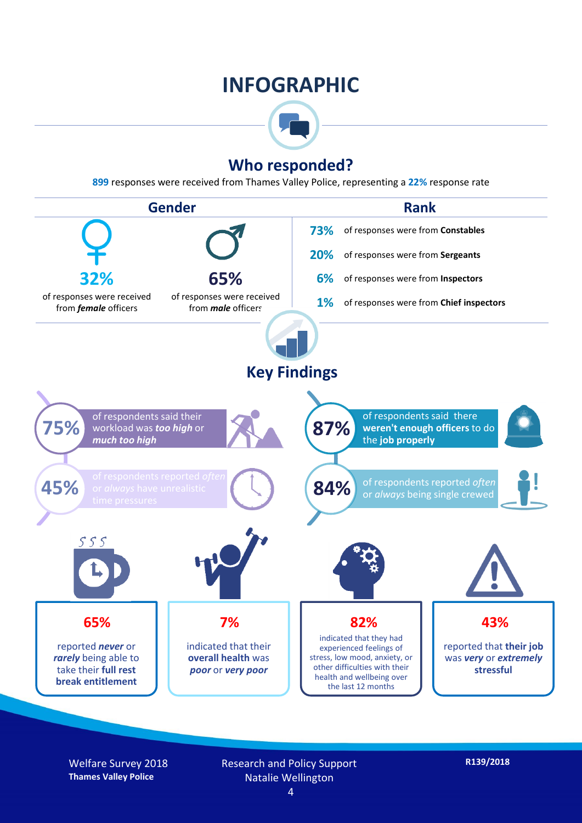### **INFOGRAPHIC**



#### **Who responded?**

**899** responses were received from Thames Valley Police, representing a **22%** response rate



Welfare Survey 2018 **Thames Valley Police**

Research and Policy Support Natalie Wellington

**R139/2018**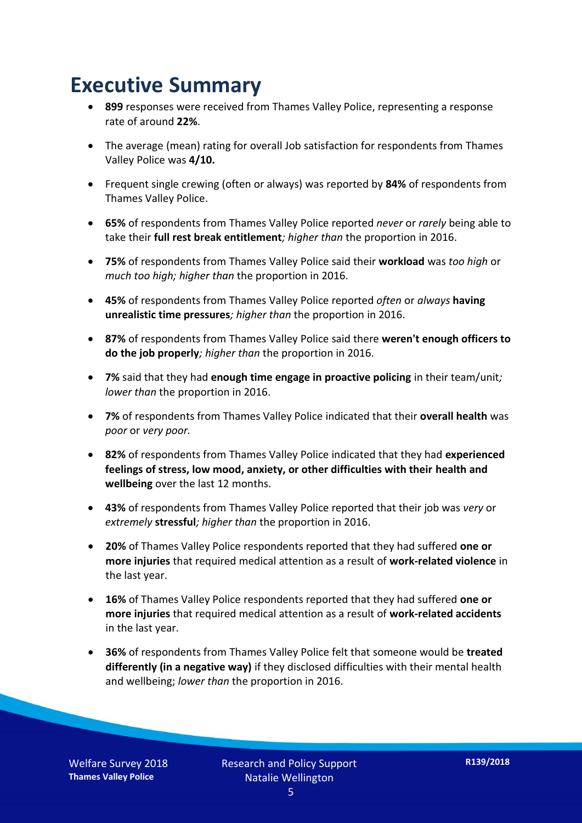### **Executive Summary**

- **899** responses were received from Thames Valley Police, representing a response rate of around **22%**.
- The average (mean) rating for overall Job satisfaction for respondents from Thames Valley Police was **4/10.**
- Frequent single crewing (often or always) was reported by **84%** of respondents from Thames Valley Police.
- **65%** of respondents from Thames Valley Police reported *never* or *rarely* being able to take their **full rest break entitlement***; higher than* the proportion in 2016.
- **75%** of respondents from Thames Valley Police said their **workload** was *too high* or *much too high; higher than* the proportion in 2016.
- **45%** of respondents from Thames Valley Police reported *often* or *always* **having unrealistic time pressures***; higher than* the proportion in 2016.
- **87%** of respondents from Thames Valley Police said there **weren't enough officers to do the job properly***; higher than* the proportion in 2016.
- **7%** said that they had **enough time engage in proactive policing** in their team/unit*; lower than* the proportion in 2016.
- **7%** of respondents from Thames Valley Police indicated that their **overall health** was *poor* or *very poor.*
- **82%** of respondents from Thames Valley Police indicated that they had **experienced feelings of stress, low mood, anxiety, or other difficulties with their health and wellbeing** over the last 12 months.
- **43%** of respondents from Thames Valley Police reported that their job was *very* or *extremely* **stressful***; higher than* the proportion in 2016.
- **20%** of Thames Valley Police respondents reported that they had suffered **one or more injuries** that required medical attention as a result of **work-related violence** in the last year.
- **16%** of Thames Valley Police respondents reported that they had suffered **one or more injuries** that required medical attention as a result of **work-related accidents**  in the last year.
- **36%** of respondents from Thames Valley Police felt that someone would be **treated differently (in a negative way)** if they disclosed difficulties with their mental health and wellbeing; *lower than* the proportion in 2016.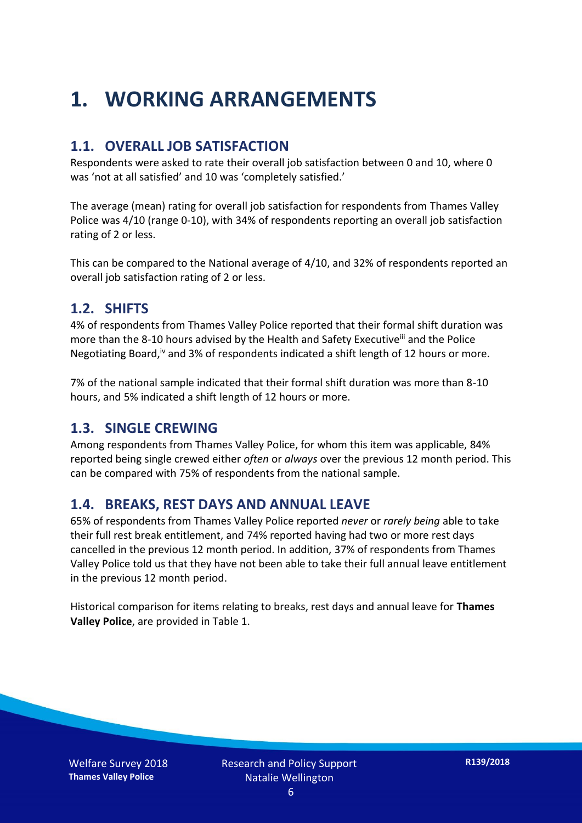## **1. WORKING ARRANGEMENTS**

#### **1.1. OVERALL JOB SATISFACTION**

Respondents were asked to rate their overall job satisfaction between 0 and 10, where 0 was 'not at all satisfied' and 10 was 'completely satisfied.'

The average (mean) rating for overall job satisfaction for respondents from Thames Valley Police was 4/10 (range 0-10), with 34% of respondents reporting an overall job satisfaction rating of 2 or less.

This can be compared to the National average of 4/10, and 32% of respondents reported an overall job satisfaction rating of 2 or less.

#### **1.2. SHIFTS**

4% of respondents from Thames Valley Police reported that their formal shift duration was more than the 8-10 hours advised by the Health and Safety Executive<sup>iii</sup> and the Police Negotiating Board,<sup>iv</sup> and 3% of respondents indicated a shift length of 12 hours or more.

7% of the national sample indicated that their formal shift duration was more than 8-10 hours, and 5% indicated a shift length of 12 hours or more.

#### **1.3. SINGLE CREWING**

Among respondents from Thames Valley Police, for whom this item was applicable, 84% reported being single crewed either *often* or *always* over the previous 12 month period. This can be compared with 75% of respondents from the national sample.

#### **1.4. BREAKS, REST DAYS AND ANNUAL LEAVE**

65% of respondents from Thames Valley Police reported *never* or *rarely being* able to take their full rest break entitlement, and 74% reported having had two or more rest days cancelled in the previous 12 month period. In addition, 37% of respondents from Thames Valley Police told us that they have not been able to take their full annual leave entitlement in the previous 12 month period.

Historical comparison for items relating to breaks, rest days and annual leave for **Thames Valley Police**, are provided in Table 1.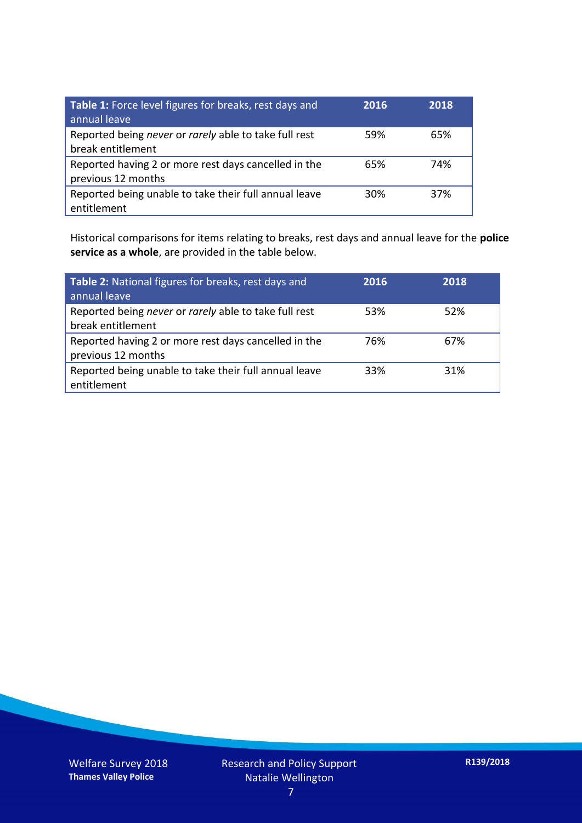| Table 1: Force level figures for breaks, rest days and<br>annual leave     | 2016 | 2018 |
|----------------------------------------------------------------------------|------|------|
| Reported being never or rarely able to take full rest<br>break entitlement | 59%  | 65%  |
| Reported having 2 or more rest days cancelled in the<br>previous 12 months | 65%  | 74%  |
| Reported being unable to take their full annual leave<br>entitlement       | 30%  | 37%  |

Historical comparisons for items relating to breaks, rest days and annual leave for the **police service as a whole**, are provided in the table below.

| Table 2: National figures for breaks, rest days and<br>annual leave        | 2016 | 2018 |
|----------------------------------------------------------------------------|------|------|
| Reported being never or rarely able to take full rest<br>break entitlement | 53%  | 52%  |
| Reported having 2 or more rest days cancelled in the<br>previous 12 months | 76%  | 67%  |
| Reported being unable to take their full annual leave<br>entitlement       | 33%  | 31%  |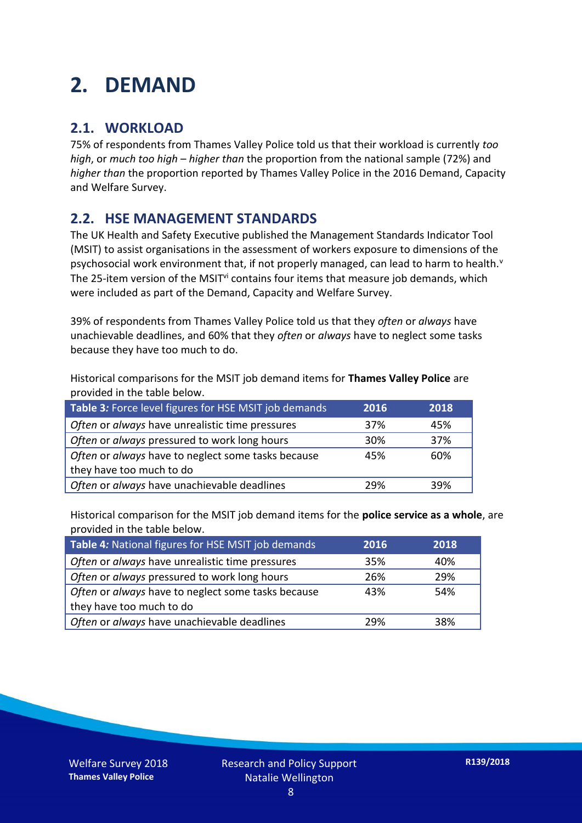### **2. DEMAND**

#### **2.1. WORKLOAD**

75% of respondents from Thames Valley Police told us that their workload is currently *too high*, or *much too high* – *higher than* the proportion from the national sample (72%) and *higher than* the proportion reported by Thames Valley Police in the 2016 Demand, Capacity and Welfare Survey.

#### **2.2. HSE MANAGEMENT STANDARDS**

The UK Health and Safety Executive published the Management Standards Indicator Tool (MSIT) to assist organisations in the assessment of workers exposure to dimensions of the psychosocial work environment that, if not properly managed, can lead to harm to health.<sup>v</sup> The 25-item version of the MSIT<sup>vi</sup> contains four items that measure job demands, which were included as part of the Demand, Capacity and Welfare Survey.

39% of respondents from Thames Valley Police told us that they *often* or *always* have unachievable deadlines, and 60% that they *often* or *always* have to neglect some tasks because they have too much to do.

Historical comparisons for the MSIT job demand items for **Thames Valley Police** are provided in the table below.

| Table 3: Force level figures for HSE MSIT job demands | 2016 | 2018 |
|-------------------------------------------------------|------|------|
| Often or always have unrealistic time pressures       | 37%  | 45%  |
| Often or always pressured to work long hours          | 30%  | 37%  |
| Often or always have to neglect some tasks because    | 45%  | 60%  |
| they have too much to do                              |      |      |
| Often or always have unachievable deadlines           | 29%  | 39%  |

Historical comparison for the MSIT job demand items for the **police service as a whole**, are provided in the table below.

| Table 4: National figures for HSE MSIT job demands | 2016 | 2018 |
|----------------------------------------------------|------|------|
| Often or always have unrealistic time pressures    | 35%  | 40%  |
| Often or always pressured to work long hours       | 26%  | 29%  |
| Often or always have to neglect some tasks because | 43%  | 54%  |
| they have too much to do                           |      |      |
| Often or always have unachievable deadlines        | 29%  | 38%  |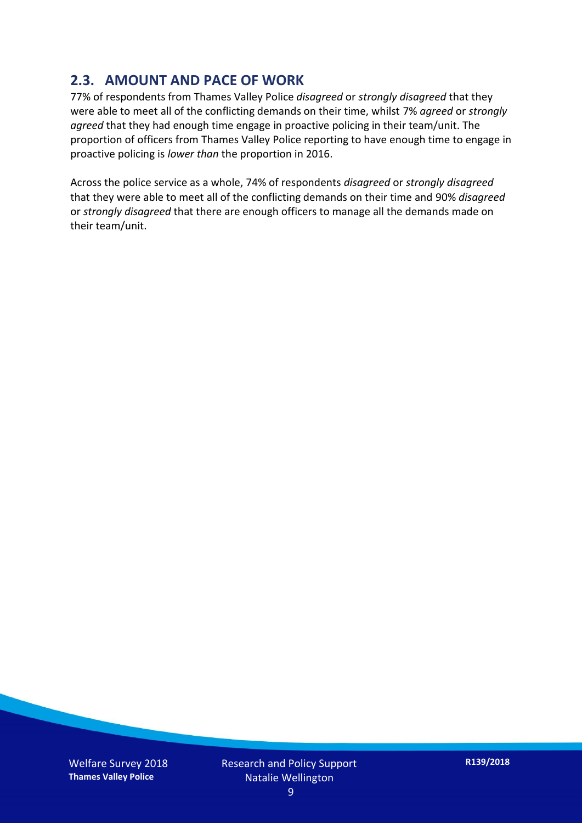#### **2.3. AMOUNT AND PACE OF WORK**

77% of respondents from Thames Valley Police *disagreed* or *strongly disagreed* that they were able to meet all of the conflicting demands on their time, whilst 7% *agreed* or *strongly agreed* that they had enough time engage in proactive policing in their team/unit. The proportion of officers from Thames Valley Police reporting to have enough time to engage in proactive policing is *lower than* the proportion in 2016.

Across the police service as a whole, 74% of respondents *disagreed* or *strongly disagreed* that they were able to meet all of the conflicting demands on their time and 90% *disagreed* or *strongly disagreed* that there are enough officers to manage all the demands made on their team/unit.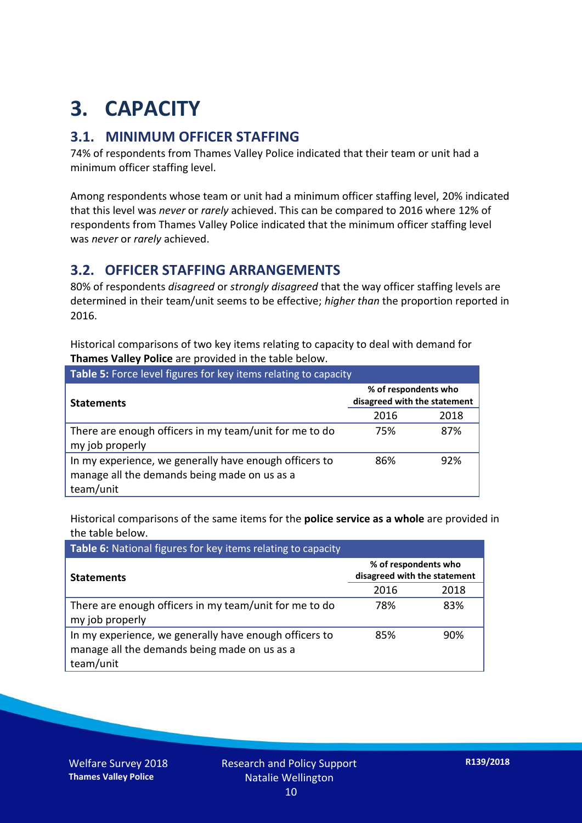## **3. CAPACITY**

#### **3.1. MINIMUM OFFICER STAFFING**

74% of respondents from Thames Valley Police indicated that their team or unit had a minimum officer staffing level.

Among respondents whose team or unit had a minimum officer staffing level, 20% indicated that this level was *never* or *rarely* achieved. This can be compared to 2016 where 12% of respondents from Thames Valley Police indicated that the minimum officer staffing level was *never* or *rarely* achieved.

#### **3.2. OFFICER STAFFING ARRANGEMENTS**

80% of respondents *disagreed* or *strongly disagreed* that the way officer staffing levels are determined in their team/unit seems to be effective; *higher than* the proportion reported in 2016.

Historical comparisons of two key items relating to capacity to deal with demand for **Thames Valley Police** are provided in the table below.

| Table 5: Force level figures for key items relating to capacity                                                     |                                                      |      |  |
|---------------------------------------------------------------------------------------------------------------------|------------------------------------------------------|------|--|
| <b>Statements</b>                                                                                                   | % of respondents who<br>disagreed with the statement |      |  |
|                                                                                                                     | 2016                                                 | 2018 |  |
| There are enough officers in my team/unit for me to do<br>my job properly                                           | 75%                                                  | 87%  |  |
| In my experience, we generally have enough officers to<br>manage all the demands being made on us as a<br>team/unit | 86%                                                  | 92%  |  |

Historical comparisons of the same items for the **police service as a whole** are provided in the table below.

| Table 6: National figures for key items relating to capacity                                                        |                                                      |      |  |  |
|---------------------------------------------------------------------------------------------------------------------|------------------------------------------------------|------|--|--|
| <b>Statements</b>                                                                                                   | % of respondents who<br>disagreed with the statement |      |  |  |
|                                                                                                                     | 2016                                                 | 2018 |  |  |
| There are enough officers in my team/unit for me to do<br>my job properly                                           | 78%                                                  | 83%  |  |  |
| In my experience, we generally have enough officers to<br>manage all the demands being made on us as a<br>team/unit | 85%                                                  | 90%  |  |  |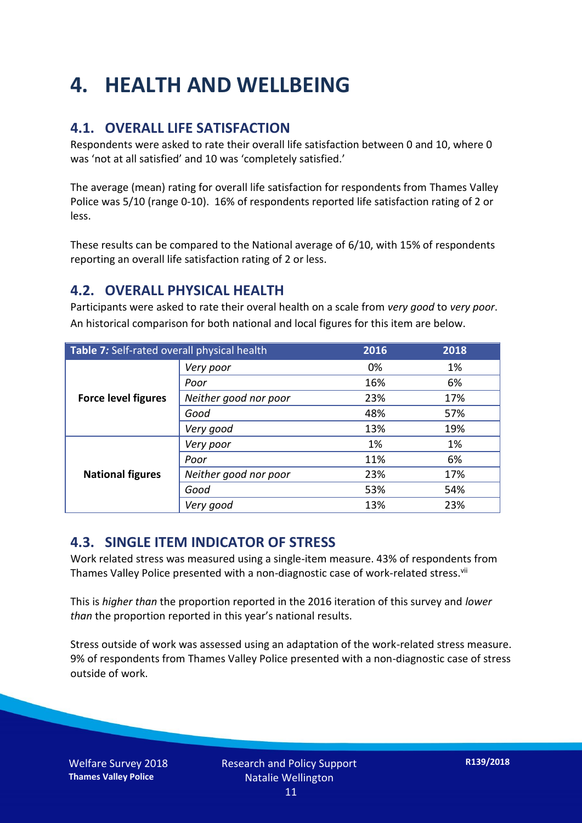## **4. HEALTH AND WELLBEING**

#### **4.1. OVERALL LIFE SATISFACTION**

Respondents were asked to rate their overall life satisfaction between 0 and 10, where 0 was 'not at all satisfied' and 10 was 'completely satisfied.'

The average (mean) rating for overall life satisfaction for respondents from Thames Valley Police was 5/10 (range 0-10). 16% of respondents reported life satisfaction rating of 2 or less.

These results can be compared to the National average of 6/10, with 15% of respondents reporting an overall life satisfaction rating of 2 or less.

#### **4.2. OVERALL PHYSICAL HEALTH**

Participants were asked to rate their overal health on a scale from *very good* to *very poor*. An historical comparison for both national and local figures for this item are below.

| Table 7: Self-rated overall physical health |                       | 2016 | 2018 |
|---------------------------------------------|-----------------------|------|------|
|                                             | Very poor             | 0%   | 1%   |
|                                             | Poor                  | 16%  | 6%   |
| <b>Force level figures</b>                  | Neither good nor poor | 23%  | 17%  |
|                                             | Good                  | 48%  | 57%  |
|                                             | Very good             | 13%  | 19%  |
| <b>National figures</b>                     | Very poor             | 1%   | 1%   |
|                                             | Poor                  | 11%  | 6%   |
|                                             | Neither good nor poor | 23%  | 17%  |
|                                             | Good                  | 53%  | 54%  |
|                                             | Very good             | 13%  | 23%  |

#### **4.3. SINGLE ITEM INDICATOR OF STRESS**

Work related stress was measured using a single-item measure. 43% of respondents from Thames Valley Police presented with a non-diagnostic case of work-related stress.<sup>vii</sup>

This is *higher than* the proportion reported in the 2016 iteration of this survey and *lower than* the proportion reported in this year's national results.

Stress outside of work was assessed using an adaptation of the work-related stress measure. 9% of respondents from Thames Valley Police presented with a non-diagnostic case of stress outside of work.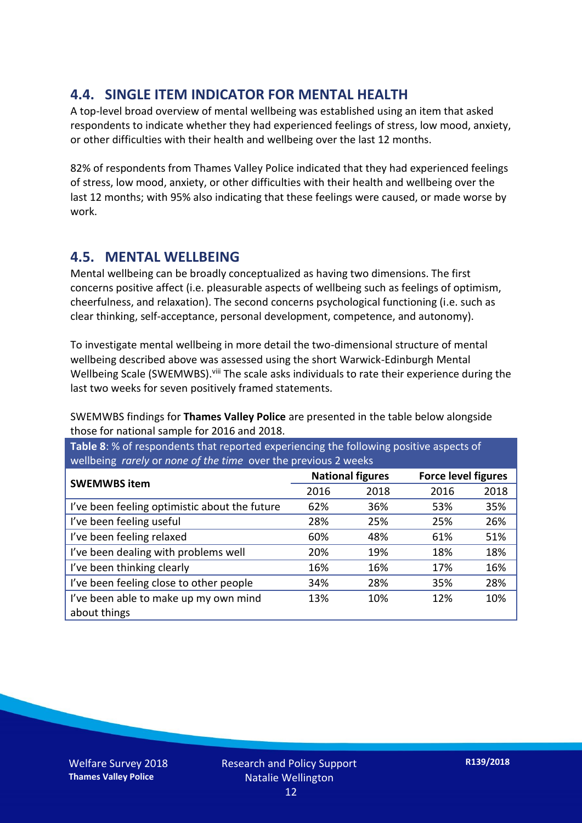#### **4.4. SINGLE ITEM INDICATOR FOR MENTAL HEALTH**

A top-level broad overview of mental wellbeing was established using an item that asked respondents to indicate whether they had experienced feelings of stress, low mood, anxiety, or other difficulties with their health and wellbeing over the last 12 months.

82% of respondents from Thames Valley Police indicated that they had experienced feelings of stress, low mood, anxiety, or other difficulties with their health and wellbeing over the last 12 months; with 95% also indicating that these feelings were caused, or made worse by work.

#### **4.5. MENTAL WELLBEING**

Mental wellbeing can be broadly conceptualized as having two dimensions. The first concerns positive affect (i.e. pleasurable aspects of wellbeing such as feelings of optimism, cheerfulness, and relaxation). The second concerns psychological functioning (i.e. such as clear thinking, self-acceptance, personal development, competence, and autonomy).

To investigate mental wellbeing in more detail the two-dimensional structure of mental wellbeing described above was assessed using the short Warwick-Edinburgh Mental Wellbeing Scale (SWEMWBS). viii The scale asks individuals to rate their experience during the last two weeks for seven positively framed statements.

SWEMWBS findings for **Thames Valley Police** are presented in the table below alongside those for national sample for 2016 and 2018.

**Table 8**: % of respondents that reported experiencing the following positive aspects of wellbeing *rarely* or *none of the time* over the previous 2 weeks

|                                               | <b>National figures</b> |      |      | <b>Force level figures</b> |  |
|-----------------------------------------------|-------------------------|------|------|----------------------------|--|
| <b>SWEMWBS item</b>                           | 2016                    | 2018 | 2016 | 2018                       |  |
| I've been feeling optimistic about the future | 62%                     | 36%  | 53%  | 35%                        |  |
| I've been feeling useful                      | 28%                     | 25%  | 25%  | 26%                        |  |
| I've been feeling relaxed                     | 60%                     | 48%  | 61%  | 51%                        |  |
| I've been dealing with problems well          | 20%                     | 19%  | 18%  | 18%                        |  |
| I've been thinking clearly                    | 16%                     | 16%  | 17%  | 16%                        |  |
| I've been feeling close to other people       | 34%                     | 28%  | 35%  | 28%                        |  |
| I've been able to make up my own mind         | 13%                     | 10%  | 12%  | 10%                        |  |
| about things                                  |                         |      |      |                            |  |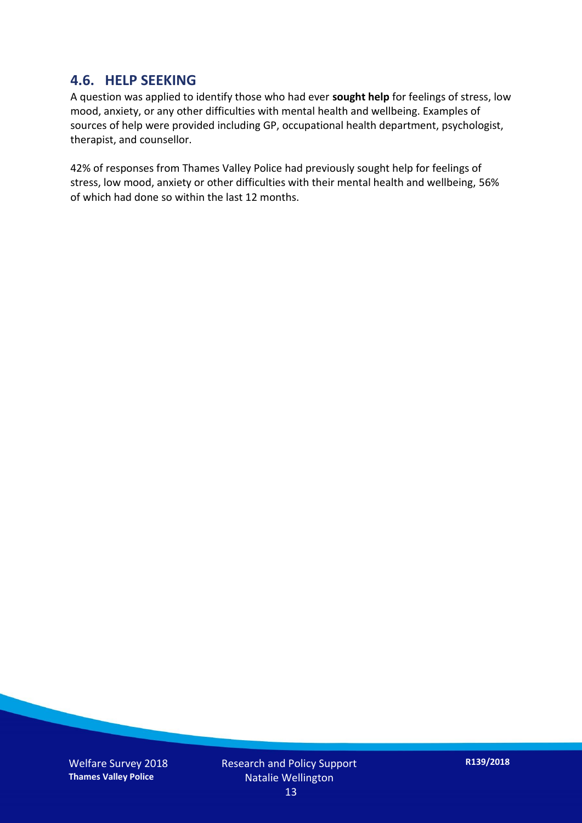#### **4.6. HELP SEEKING**

A question was applied to identify those who had ever **sought help** for feelings of stress, low mood, anxiety, or any other difficulties with mental health and wellbeing. Examples of sources of help were provided including GP, occupational health department, psychologist, therapist, and counsellor.

42% of responses from Thames Valley Police had previously sought help for feelings of stress, low mood, anxiety or other difficulties with their mental health and wellbeing, 56% of which had done so within the last 12 months.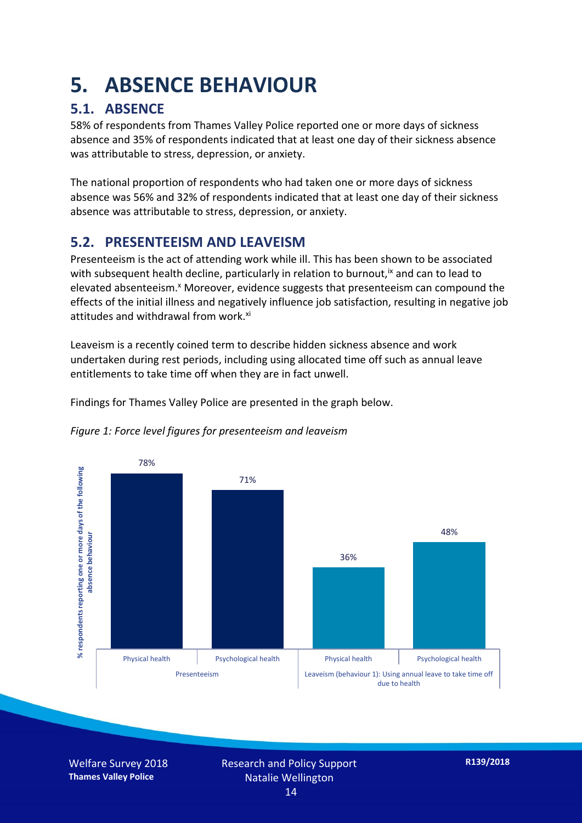### **5. ABSENCE BEHAVIOUR**

#### **5.1. ABSENCE**

58% of respondents from Thames Valley Police reported one or more days of sickness absence and 35% of respondents indicated that at least one day of their sickness absence was attributable to stress, depression, or anxiety.

The national proportion of respondents who had taken one or more days of sickness absence was 56% and 32% of respondents indicated that at least one day of their sickness absence was attributable to stress, depression, or anxiety.

#### **5.2. PRESENTEEISM AND LEAVEISM**

Presenteeism is the act of attending work while ill. This has been shown to be associated with subsequent health decline, particularly in relation to burnout,  $\alpha$  and can to lead to elevated absenteeism.<sup>x</sup> Moreover, evidence suggests that presenteeism can compound the effects of the initial illness and negatively influence job satisfaction, resulting in negative job attitudes and withdrawal from work.<sup>xi</sup>

Leaveism is a recently coined term to describe hidden sickness absence and work undertaken during rest periods, including using allocated time off such as annual leave entitlements to take time off when they are in fact unwell.

Findings for Thames Valley Police are presented in the graph below.



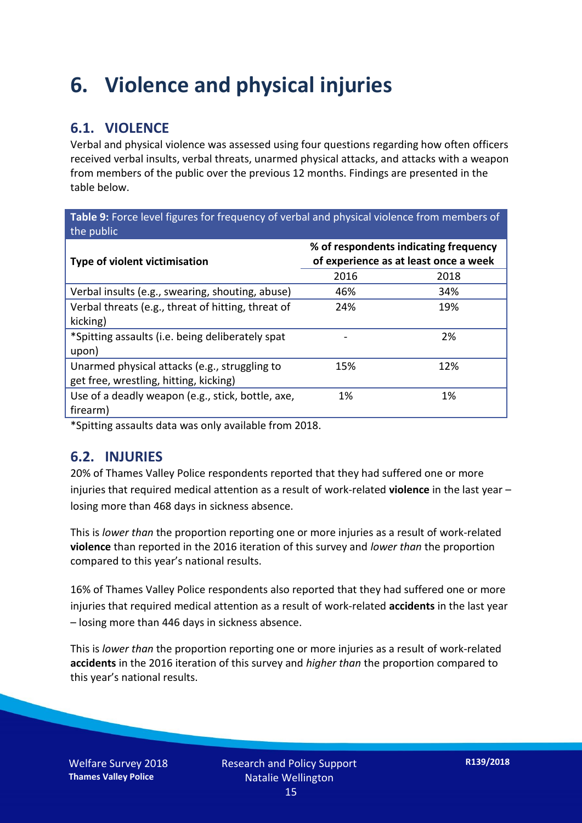### **6. Violence and physical injuries**

#### **6.1. VIOLENCE**

Verbal and physical violence was assessed using four questions regarding how often officers received verbal insults, verbal threats, unarmed physical attacks, and attacks with a weapon from members of the public over the previous 12 months. Findings are presented in the table below.

**Table 9:** Force level figures for frequency of verbal and physical violence from members of the public

| Type of violent victimisation                      | % of respondents indicating frequency<br>of experience as at least once a week |      |  |
|----------------------------------------------------|--------------------------------------------------------------------------------|------|--|
|                                                    | 2016                                                                           | 2018 |  |
| Verbal insults (e.g., swearing, shouting, abuse)   | 46%                                                                            | 34%  |  |
| Verbal threats (e.g., threat of hitting, threat of | 24%                                                                            | 19%  |  |
| kicking)                                           |                                                                                |      |  |
| *Spitting assaults (i.e. being deliberately spat   |                                                                                | 2%   |  |
| upon)                                              |                                                                                |      |  |
| Unarmed physical attacks (e.g., struggling to      | 15%                                                                            | 12%  |  |
| get free, wrestling, hitting, kicking)             |                                                                                |      |  |
| Use of a deadly weapon (e.g., stick, bottle, axe,  | 1%                                                                             | 1%   |  |
| firearm)                                           |                                                                                |      |  |

\*Spitting assaults data was only available from 2018.

#### **6.2. INJURIES**

20% of Thames Valley Police respondents reported that they had suffered one or more injuries that required medical attention as a result of work-related **violence** in the last year – losing more than 468 days in sickness absence.

This is *lower than* the proportion reporting one or more injuries as a result of work-related **violence** than reported in the 2016 iteration of this survey and *lower than* the proportion compared to this year's national results.

16% of Thames Valley Police respondents also reported that they had suffered one or more injuries that required medical attention as a result of work-related **accidents** in the last year – losing more than 446 days in sickness absence.

This is *lower than* the proportion reporting one or more injuries as a result of work-related **accidents** in the 2016 iteration of this survey and *higher than* the proportion compared to this year's national results.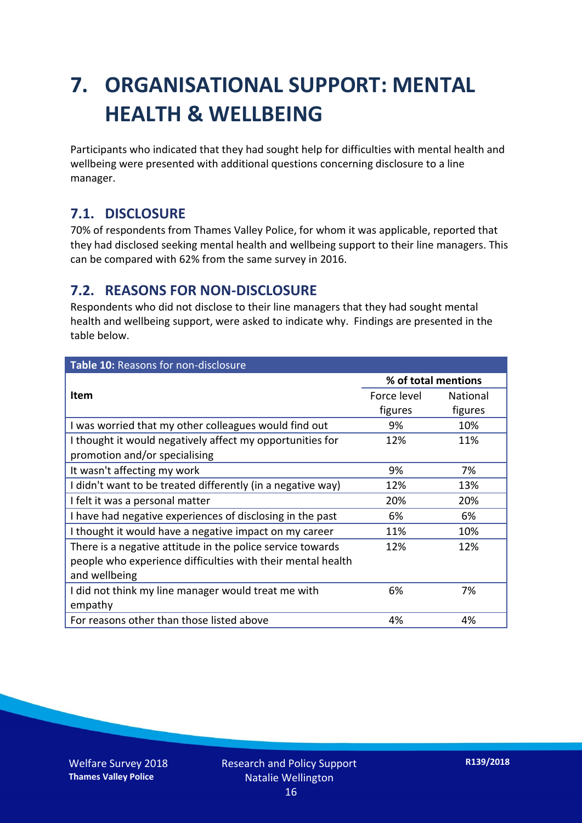## **7. ORGANISATIONAL SUPPORT: MENTAL HEALTH & WELLBEING**

Participants who indicated that they had sought help for difficulties with mental health and wellbeing were presented with additional questions concerning disclosure to a line manager.

#### **7.1. DISCLOSURE**

70% of respondents from Thames Valley Police, for whom it was applicable, reported that they had disclosed seeking mental health and wellbeing support to their line managers. This can be compared with 62% from the same survey in 2016.

#### **7.2. REASONS FOR NON-DISCLOSURE**

Respondents who did not disclose to their line managers that they had sought mental health and wellbeing support, were asked to indicate why. Findings are presented in the table below.

| Table 10: Reasons for non-disclosure                        |                     |                 |
|-------------------------------------------------------------|---------------------|-----------------|
|                                                             | % of total mentions |                 |
| Item                                                        | Force level         | <b>National</b> |
|                                                             | figures             | figures         |
| I was worried that my other colleagues would find out       | 9%                  | 10%             |
| I thought it would negatively affect my opportunities for   | 12%                 | 11%             |
| promotion and/or specialising                               |                     |                 |
| It wasn't affecting my work                                 | 9%                  | 7%              |
| I didn't want to be treated differently (in a negative way) | 12%                 | 13%             |
| I felt it was a personal matter                             | 20%                 | 20%             |
| I have had negative experiences of disclosing in the past   | 6%                  | 6%              |
| I thought it would have a negative impact on my career      | 11%                 | 10%             |
| There is a negative attitude in the police service towards  | 12%                 | 12%             |
| people who experience difficulties with their mental health |                     |                 |
| and wellbeing                                               |                     |                 |
| I did not think my line manager would treat me with         | 6%                  | 7%              |
| empathy                                                     |                     |                 |
| For reasons other than those listed above                   | 4%                  | 4%              |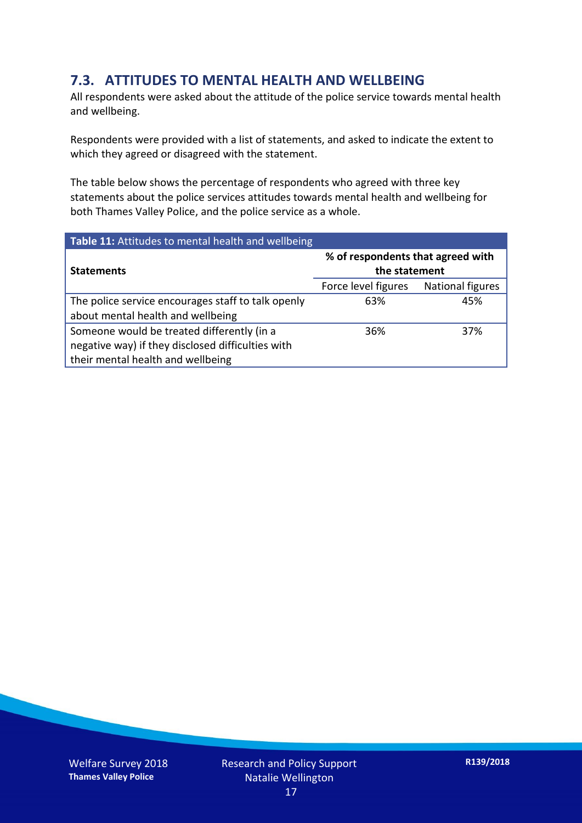#### **7.3. ATTITUDES TO MENTAL HEALTH AND WELLBEING**

All respondents were asked about the attitude of the police service towards mental health and wellbeing.

Respondents were provided with a list of statements, and asked to indicate the extent to which they agreed or disagreed with the statement.

The table below shows the percentage of respondents who agreed with three key statements about the police services attitudes towards mental health and wellbeing for both Thames Valley Police, and the police service as a whole.

| Table 11: Attitudes to mental health and wellbeing |                                                    |                  |  |
|----------------------------------------------------|----------------------------------------------------|------------------|--|
| <b>Statements</b>                                  | % of respondents that agreed with<br>the statement |                  |  |
|                                                    | Force level figures                                | National figures |  |
| The police service encourages staff to talk openly | 63%                                                | 45%              |  |
| about mental health and wellbeing                  |                                                    |                  |  |
| Someone would be treated differently (in a         | 36%                                                | 37%              |  |
| negative way) if they disclosed difficulties with  |                                                    |                  |  |
| their mental health and wellbeing                  |                                                    |                  |  |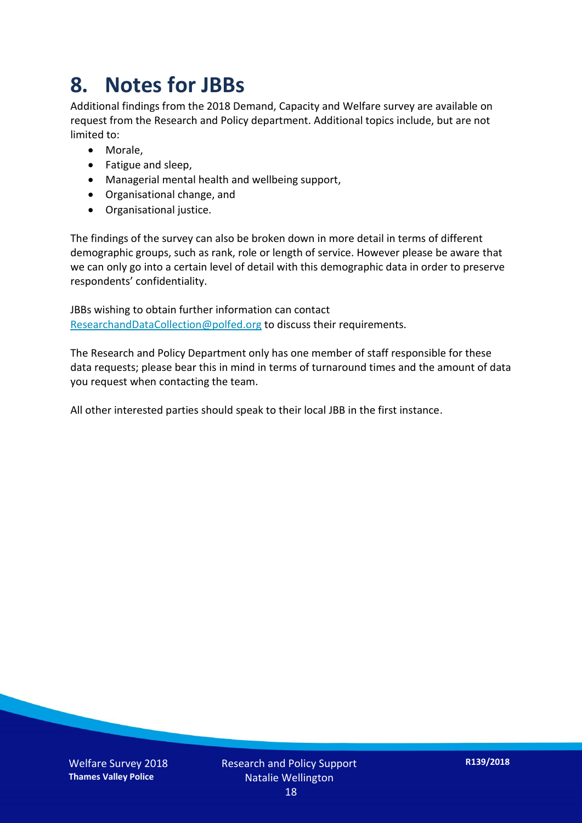### **8. Notes for JBBs**

Additional findings from the 2018 Demand, Capacity and Welfare survey are available on request from the Research and Policy department. Additional topics include, but are not limited to:

- Morale,
- Fatigue and sleep,
- Managerial mental health and wellbeing support,
- Organisational change, and
- Organisational justice.

The findings of the survey can also be broken down in more detail in terms of different demographic groups, such as rank, role or length of service. However please be aware that we can only go into a certain level of detail with this demographic data in order to preserve respondents' confidentiality.

JBBs wishing to obtain further information can contact [ResearchandDataCollection@polfed.org](mailto:ResearchandDataCollection@polfed.org) to discuss their requirements.

The Research and Policy Department only has one member of staff responsible for these data requests; please bear this in mind in terms of turnaround times and the amount of data you request when contacting the team.

All other interested parties should speak to their local JBB in the first instance.